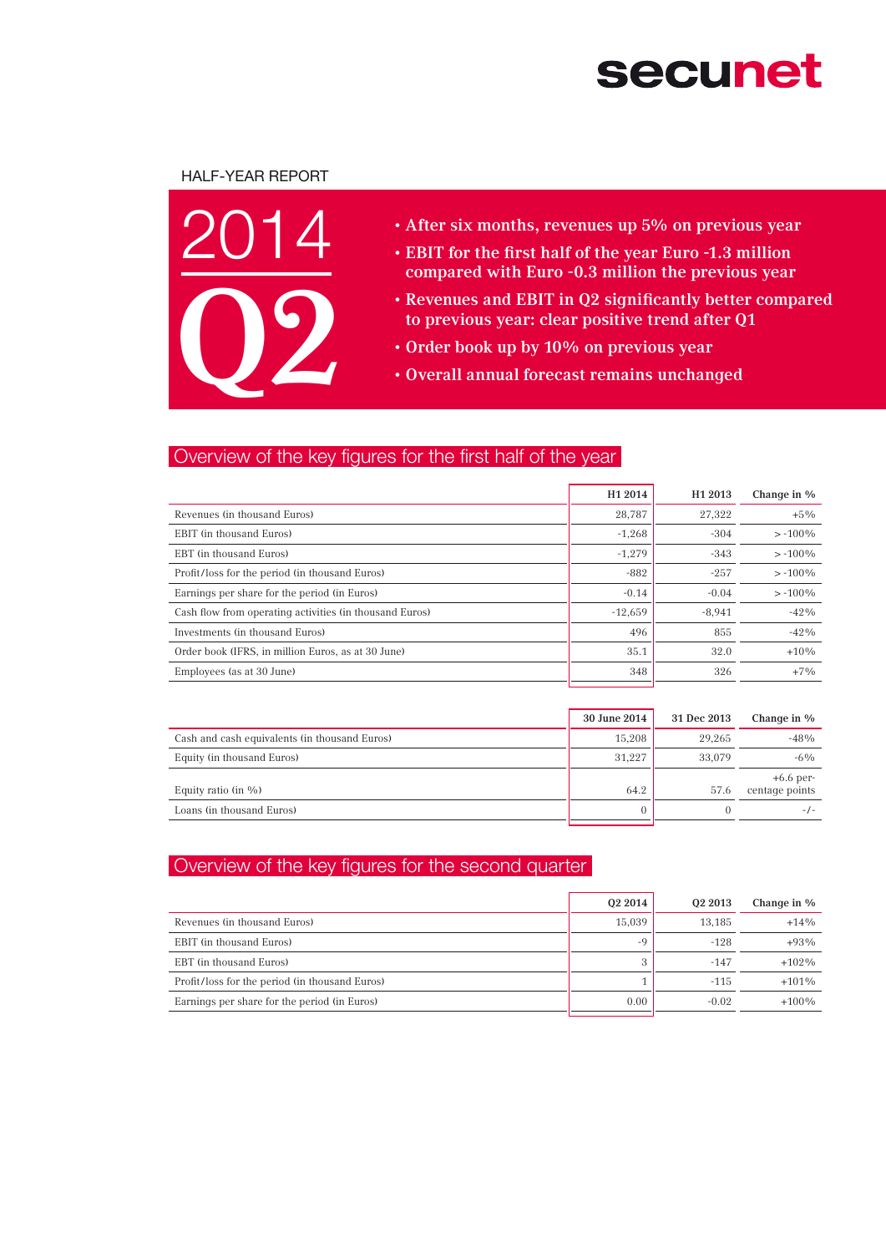# **secunet**

### Half-Year Report



- After six months, revenues up 5% on previous year
- EBIT for the first half of the year Euro -1.3 million compared with Euro -0.3 million the previous year
- • Revenues and EBIT in Q2 significantly better compared to previous year: clear positive trend after Q1
- • Order book up by 10% on previous year
- • Overall annual forecast remains unchanged

## Overview of the key figures for the first half of the year

|                                                         | H <sub>1</sub> 2014 | H <sub>1</sub> 2013 | Change in % |
|---------------------------------------------------------|---------------------|---------------------|-------------|
| Revenues (in thousand Euros)                            | 28.787              | 27.322              | $+5\%$      |
| EBIT (in thousand Euros)                                | $-1,268$            | $-304$              | $> -100\%$  |
| EBT (in thousand Euros)                                 | $-1,279$            | $-343$              | $> -100\%$  |
| Profit/loss for the period (in thousand Euros)          | $-882$              | $-257$              | $> -100\%$  |
| Earnings per share for the period (in Euros)            | $-0.14$             | $-0.04$             | $> -100\%$  |
| Cash flow from operating activities (in thousand Euros) | $-12.659$           | $-8.941$            | $-42%$      |
| Investments (in thousand Euros)                         | 496                 | 855                 | $-42%$      |
| Order book (IFRS, in million Euros, as at 30 June)      | 35.1                | 32.0                | $+10%$      |
| Employees (as at 30 June)                               | 348                 | 326                 | $+7\%$      |

|                                               | 30 June 2014 | 31 Dec 2013 | Change in %                   |
|-----------------------------------------------|--------------|-------------|-------------------------------|
| Cash and cash equivalents (in thousand Euros) | 15.208       | 29.265      | $-48%$                        |
| Equity (in thousand Euros)                    | 31.227       | 33,079      | $-6\%$                        |
| Equity ratio (in $\%$ )                       | 64.2         | 57.6        | $+6.6$ per-<br>centage points |
| Loans (in thousand Euros)                     |              |             | $-1$ –                        |

## Overview of the key figures for the second quarter

|                                                | 02 2014 | 02 2013 | Change in % |
|------------------------------------------------|---------|---------|-------------|
| Revenues (in thousand Euros)                   | 15,039  | 13,185  | $+14%$      |
| EBIT (in thousand Euros)                       | $-9$    | $-128$  | $+93%$      |
| EBT (in thousand Euros)                        | 3       | $-147$  | $+102\%$    |
| Profit/loss for the period (in thousand Euros) |         | $-115$  | $+101\%$    |
| Earnings per share for the period (in Euros)   | 0.00    | $-0.02$ | $+100\%$    |
|                                                |         |         |             |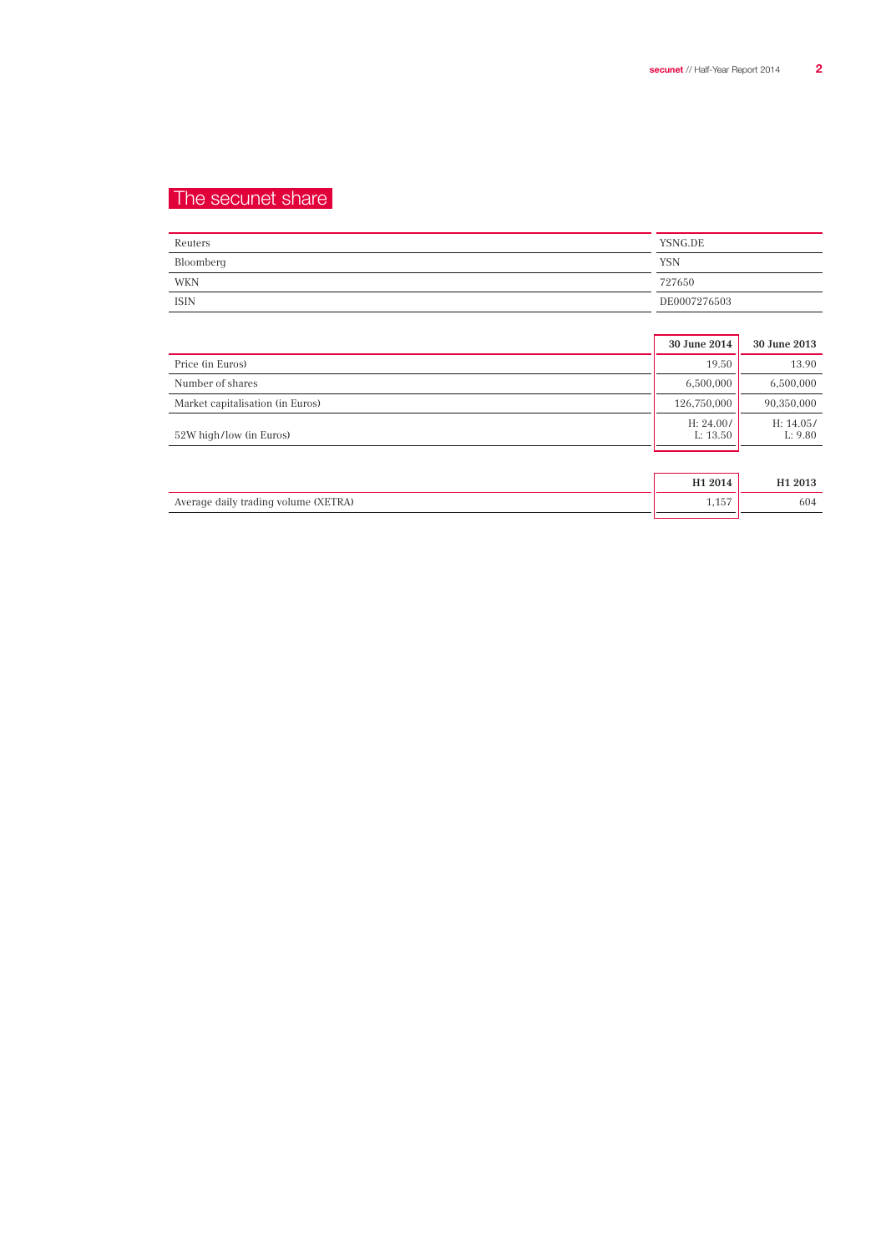## The secunet share

| Reuters     | YSNG.DE      |
|-------------|--------------|
| Bloomberg   | <b>YSN</b>   |
| WKN         | 727650       |
| <b>ISIN</b> | DE0007276503 |

|                                  | 30 June 2014          | 30 June 2013         |
|----------------------------------|-----------------------|----------------------|
| Price (in Euros)                 | 19.50                 | 13.90                |
| Number of shares                 | 6,500,000             | 6,500,000            |
| Market capitalisation (in Euros) | 126,750,000           | 90,350,000           |
| 52W high/low (in Euros)          | H: 24.00/<br>L: 13.50 | H: 14.05/<br>L: 9.80 |
|                                  |                       |                      |
|                                  | H <sub>1</sub> 2014   | H <sub>1</sub> 2013  |

Average daily trading volume (XETRA) 1,157 604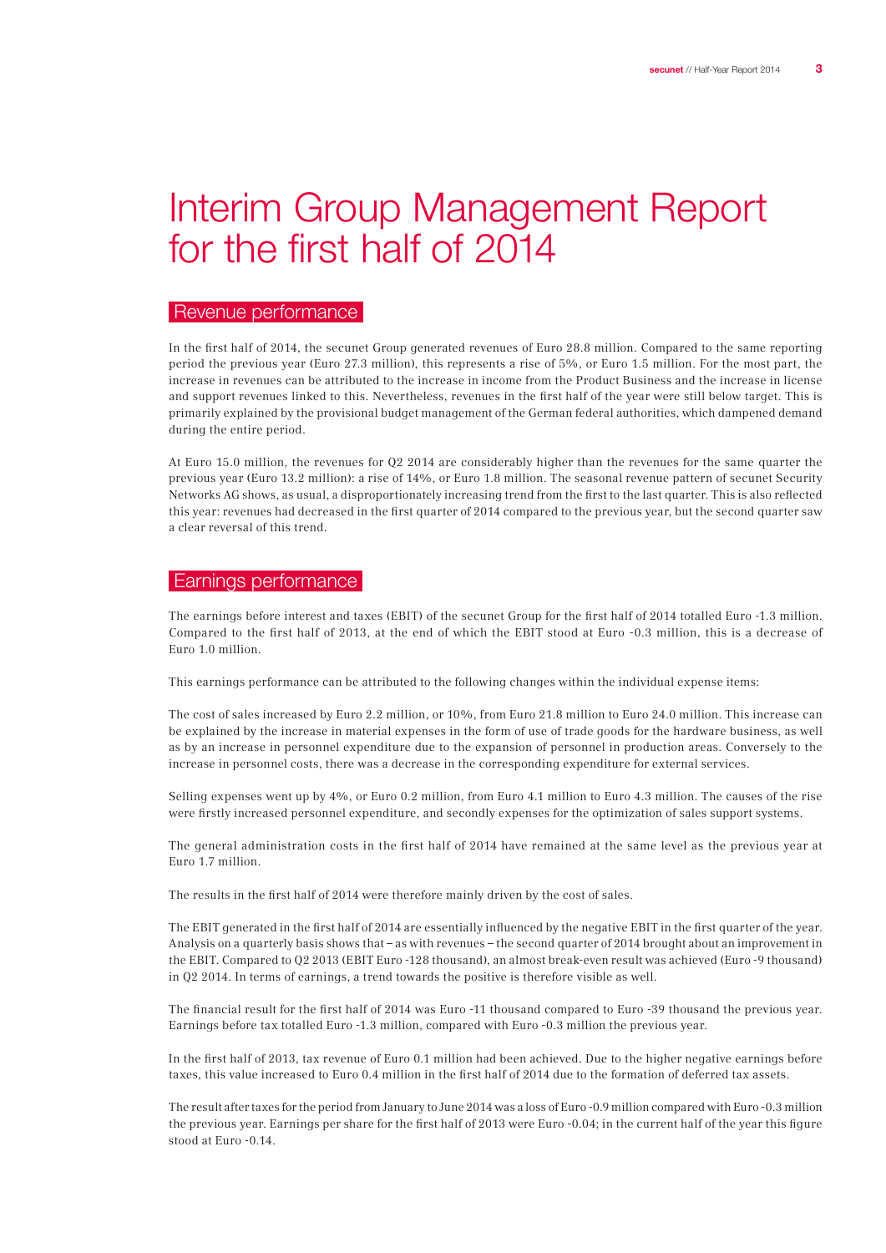## Interim Group Management Report for the first half of 2014

#### Revenue performance

In the first half of 2014, the secunet Group generated revenues of Euro 28.8 million. Compared to the same reporting period the previous year (Euro 27.3 million), this represents a rise of 5%, or Euro 1.5 million. For the most part, the increase in revenues can be attributed to the increase in income from the Product Business and the increase in license and support revenues linked to this. Nevertheless, revenues in the first half of the year were still below target. This is primarily explained by the provisional budget management of the German federal authorities, which dampened demand during the entire period.

At Euro 15.0 million, the revenues for Q2 2014 are considerably higher than the revenues for the same quarter the previous year (Euro 13.2 million): a rise of 14%, or Euro 1.8 million. The seasonal revenue pattern of secunet Security Networks AG shows, as usual, a disproportionately increasing trend from the first to the last quarter. This is also reflected this year: revenues had decreased in the first quarter of 2014 compared to the previous year, but the second quarter saw a clear reversal of this trend.

### Earnings performance

The earnings before interest and taxes (EBIT) of the secunet Group for the first half of 2014 totalled Euro -1.3 million. Compared to the first half of 2013, at the end of which the EBIT stood at Euro -0.3 million, this is a decrease of Euro 1.0 million.

This earnings performance can be attributed to the following changes within the individual expense items:

The cost of sales increased by Euro 2.2 million, or 10%, from Euro 21.8 million to Euro 24.0 million. This increase can be explained by the increase in material expenses in the form of use of trade goods for the hardware business, as well as by an increase in personnel expenditure due to the expansion of personnel in production areas. Conversely to the increase in personnel costs, there was a decrease in the corresponding expenditure for external services.

Selling expenses went up by 4%, or Euro 0.2 million, from Euro 4.1 million to Euro 4.3 million. The causes of the rise were firstly increased personnel expenditure, and secondly expenses for the optimization of sales support systems.

The general administration costs in the first half of 2014 have remained at the same level as the previous year at Euro 1.7 million.

The results in the first half of 2014 were therefore mainly driven by the cost of sales.

The EBIT generated in the first half of 2014 are essentially influenced by the negative EBIT in the first quarter of the year. Analysis on a quarterly basis shows that – as with revenues – the second quarter of 2014 brought about an improvement in the EBIT. Compared to Q2 2013 (EBIT Euro -128 thousand), an almost break-even result was achieved (Euro -9 thousand) in Q2 2014. In terms of earnings, a trend towards the positive is therefore visible as well.

The financial result for the first half of 2014 was Euro -11 thousand compared to Euro -39 thousand the previous year. Earnings before tax totalled Euro -1.3 million, compared with Euro -0.3 million the previous year.

In the first half of 2013, tax revenue of Euro 0.1 million had been achieved. Due to the higher negative earnings before taxes, this value increased to Euro 0.4 million in the first half of 2014 due to the formation of deferred tax assets.

The result aftertaxes forthe period from January to June 2014 was a loss of Euro -0.9 million compared with Euro -0.3 million the previous year. Earnings per share for the first half of 2013 were Euro -0.04; in the current half of the year this figure stood at Euro -0.14.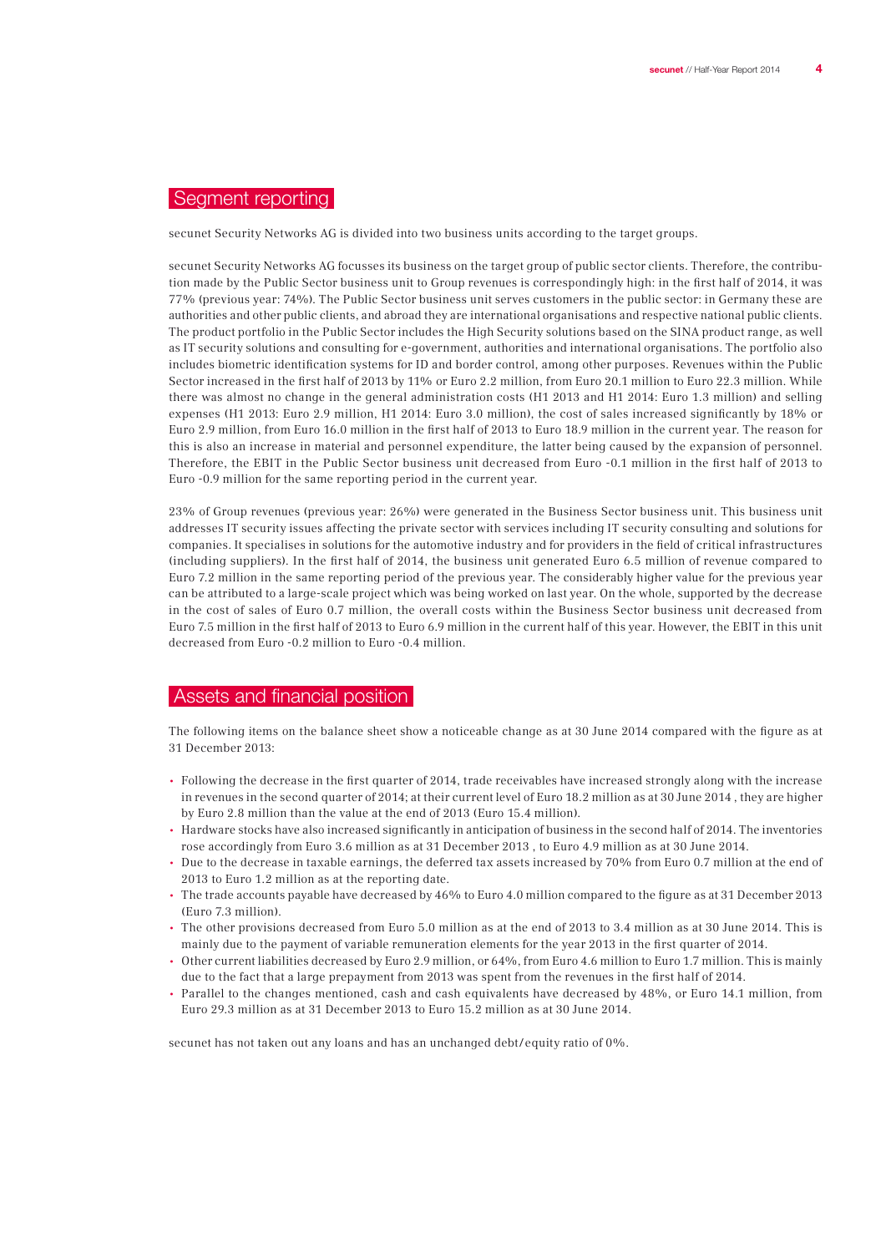### Segment reporting

secunet Security Networks AG is divided into two business units according to the target groups.

secunet Security Networks AG focusses its business on the target group of public sector clients. Therefore, the contribution made by the Public Sector business unit to Group revenues is correspondingly high: in the first half of 2014, it was 77% (previous year: 74%). The Public Sector business unit serves customers in the public sector: in Germany these are authorities and other public clients, and abroad they are international organisations and respective national public clients. The product portfolio in the Public Sector includes the High Security solutions based on the SINA product range, as well as IT security solutions and consulting for e-government, authorities and international organisations. The portfolio also includes biometric identification systems for ID and border control, among other purposes. Revenues within the Public Sector increased in the first half of 2013 by 11% or Euro 2.2 million, from Euro 20.1 million to Euro 22.3 million. While there was almost no change in the general administration costs (H1 2013 and H1 2014: Euro 1.3 million) and selling expenses (H1 2013: Euro 2.9 million, H1 2014: Euro 3.0 million), the cost of sales increased significantly by 18% or Euro 2.9 million, from Euro 16.0 million in the first half of 2013 to Euro 18.9 million in the current year. The reason for this is also an increase in material and personnel expenditure, the latter being caused by the expansion of personnel. Therefore, the EBIT in the Public Sector business unit decreased from Euro -0.1 million in the first half of 2013 to Euro -0.9 million for the same reporting period in the current year.

23% of Group revenues (previous year: 26%) were generated in the Business Sector business unit. This business unit addresses IT security issues affecting the private sector with services including IT security consulting and solutions for companies. It specialises in solutions for the automotive industry and for providers in the field of critical infrastructures (including suppliers). In the first half of 2014, the business unit generated Euro 6.5 million of revenue compared to Euro 7.2 million in the same reporting period of the previous year. The considerably higher value for the previous year can be attributed to a large-scale project which was being worked on last year. On the whole, supported by the decrease in the cost of sales of Euro 0.7 million, the overall costs within the Business Sector business unit decreased from Euro 7.5 million in the first half of 2013 to Euro 6.9 million in the current half of this year. However, the EBIT in this unit decreased from Euro -0.2 million to Euro -0.4 million.

### Assets and financial position

The following items on the balance sheet show a noticeable change as at 30 June 2014 compared with the figure as at 31 December 2013:

- Following the decrease in the first quarter of 2014, trade receivables have increased strongly along with the increase in revenues in the second quarter of 2014; at their current level of Euro 18.2 million as at 30 June 2014 , they are higher by Euro 2.8 million than the value at the end of 2013 (Euro 15.4 million).
- Hardware stocks have also increased significantly in anticipation of business in the second half of 2014. The inventories rose accordingly from Euro 3.6 million as at 31 December 2013 , to Euro 4.9 million as at 30 June 2014.
- Due to the decrease in taxable earnings, the deferred tax assets increased by 70% from Euro 0.7 million at the end of 2013 to Euro 1.2 million as at the reporting date.
- The trade accounts payable have decreased by 46% to Euro 4.0 million compared to the figure as at 31 December 2013 (Euro 7.3 million).
- The other provisions decreased from Euro 5.0 million as at the end of 2013 to 3.4 million as at 30 June 2014. This is mainly due to the payment of variable remuneration elements for the year 2013 in the first quarter of 2014.
- Other current liabilities decreased by Euro 2.9 million, or 64%, from Euro 4.6 million to Euro 1.7 million. This is mainly due to the fact that a large prepayment from 2013 was spent from the revenues in the first half of 2014.
- Parallel to the changes mentioned, cash and cash equivalents have decreased by 48%, or Euro 14.1 million, from Euro 29.3 million as at 31 December 2013 to Euro 15.2 million as at 30 June 2014.

secunet has not taken out any loans and has an unchanged debt/equity ratio of 0%.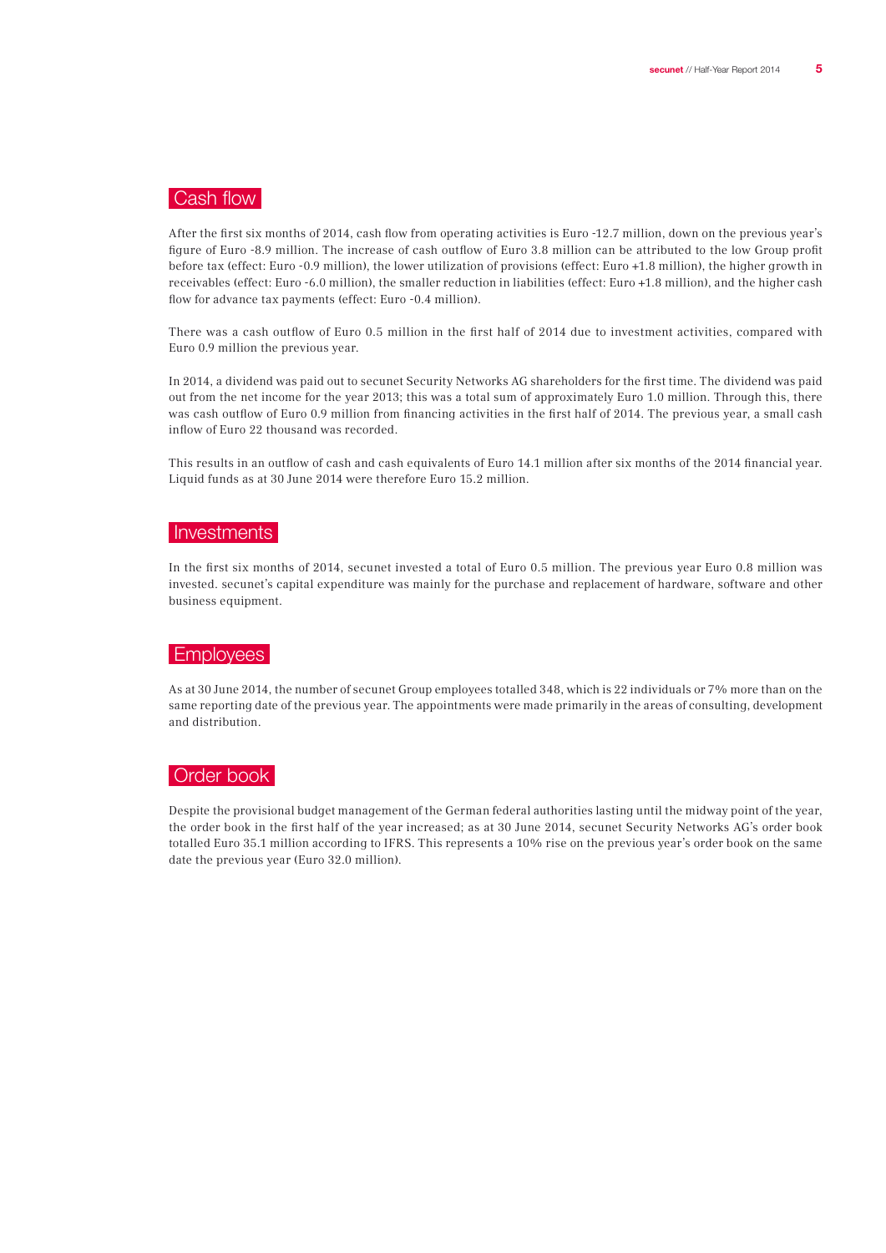## Cash flow

After the first six months of 2014, cash flow from operating activities is Euro -12.7 million, down on the previous year's figure of Euro -8.9 million. The increase of cash outflow of Euro 3.8 million can be attributed to the low Group profit before tax (effect: Euro -0.9 million), the lower utilization of provisions (effect: Euro +1.8 million), the higher growth in receivables (effect: Euro -6.0 million), the smaller reduction in liabilities (effect: Euro +1.8 million), and the higher cash flow for advance tax payments (effect: Euro -0.4 million).

There was a cash outflow of Euro 0.5 million in the first half of 2014 due to investment activities, compared with Euro 0.9 million the previous year.

In 2014, a dividend was paid out to secunet Security Networks AG shareholders for the first time. The dividend was paid out from the net income for the year 2013; this was a total sum of approximately Euro 1.0 million. Through this, there was cash outflow of Euro 0.9 million from financing activities in the first half of 2014. The previous year, a small cash inflow of Euro 22 thousand was recorded.

This results in an outflow of cash and cash equivalents of Euro 14.1 million after six months of the 2014 financial year. Liquid funds as at 30 June 2014 were therefore Euro 15.2 million.

#### | Investments |

In the first six months of 2014, secunet invested a total of Euro 0.5 million. The previous year Euro 0.8 million was invested. secunet's capital expenditure was mainly for the purchase and replacement of hardware, software and other business equipment.

#### Employees

As at 30 June 2014, the number of secunet Group employees totalled 348, which is 22 individuals or 7% more than on the same reporting date of the previous year. The appointments were made primarily in the areas of consulting, development and distribution.

## Order book

Despite the provisional budget management of the German federal authorities lasting until the midway point of the year, the order book in the first half of the year increased; as at 30 June 2014, secunet Security Networks AG's order book totalled Euro 35.1 million according to IFRS. This represents a 10% rise on the previous year's order book on the same date the previous year (Euro 32.0 million).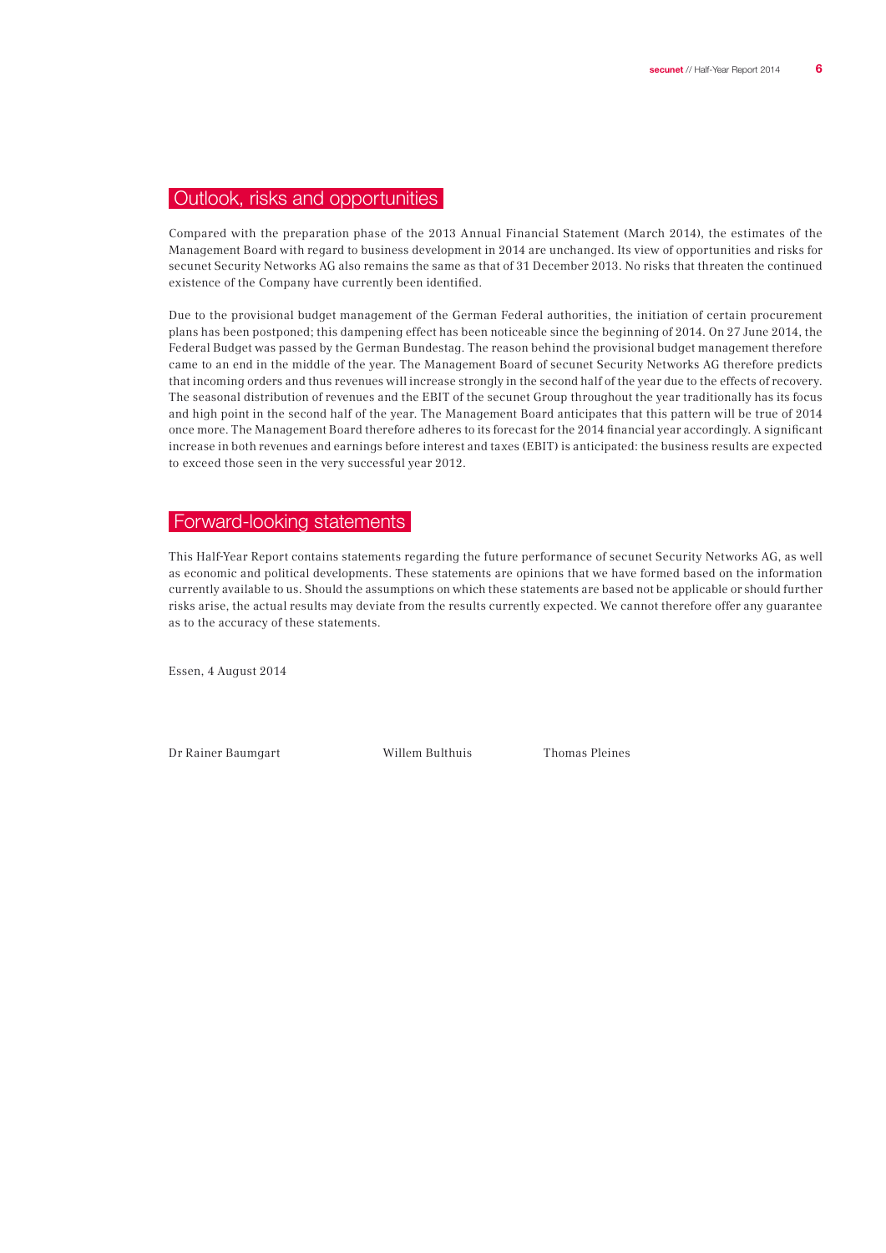## Outlook, risks and opportunities

Compared with the preparation phase of the 2013 Annual Financial Statement (March 2014), the estimates of the Management Board with regard to business development in 2014 are unchanged. Its view of opportunities and risks for secunet Security Networks AG also remains the same as that of 31 December 2013. No risks that threaten the continued existence of the Company have currently been identified.

Due to the provisional budget management of the German Federal authorities, the initiation of certain procurement plans has been postponed; this dampening effect has been noticeable since the beginning of 2014. On 27 June 2014, the Federal Budget was passed by the German Bundestag. The reason behind the provisional budget management therefore came to an end in the middle of the year. The Management Board of secunet Security Networks AG therefore predicts that incoming orders and thus revenues will increase strongly in the second half of the year due to the effects of recovery. The seasonal distribution of revenues and the EBIT of the secunet Group throughout the year traditionally has its focus and high point in the second half of the year. The Management Board anticipates that this pattern will be true of 2014 once more. The Management Board therefore adheres to its forecast for the 2014 financial year accordingly. A significant increase in both revenues and earnings before interest and taxes (EBIT) is anticipated: the business results are expected to exceed those seen in the very successful year 2012.

#### Forward-looking statements

This Half-Year Report contains statements regarding the future performance of secunet Security Networks AG, as well as economic and political developments. These statements are opinions that we have formed based on the information currently available to us. Should the assumptions on which these statements are based not be applicable or should further risks arise, the actual results may deviate from the results currently expected. We cannot therefore offer any guarantee as to the accuracy of these statements.

Essen, 4 August 2014

Dr Rainer Baumgart Willem Bulthuis Thomas Pleines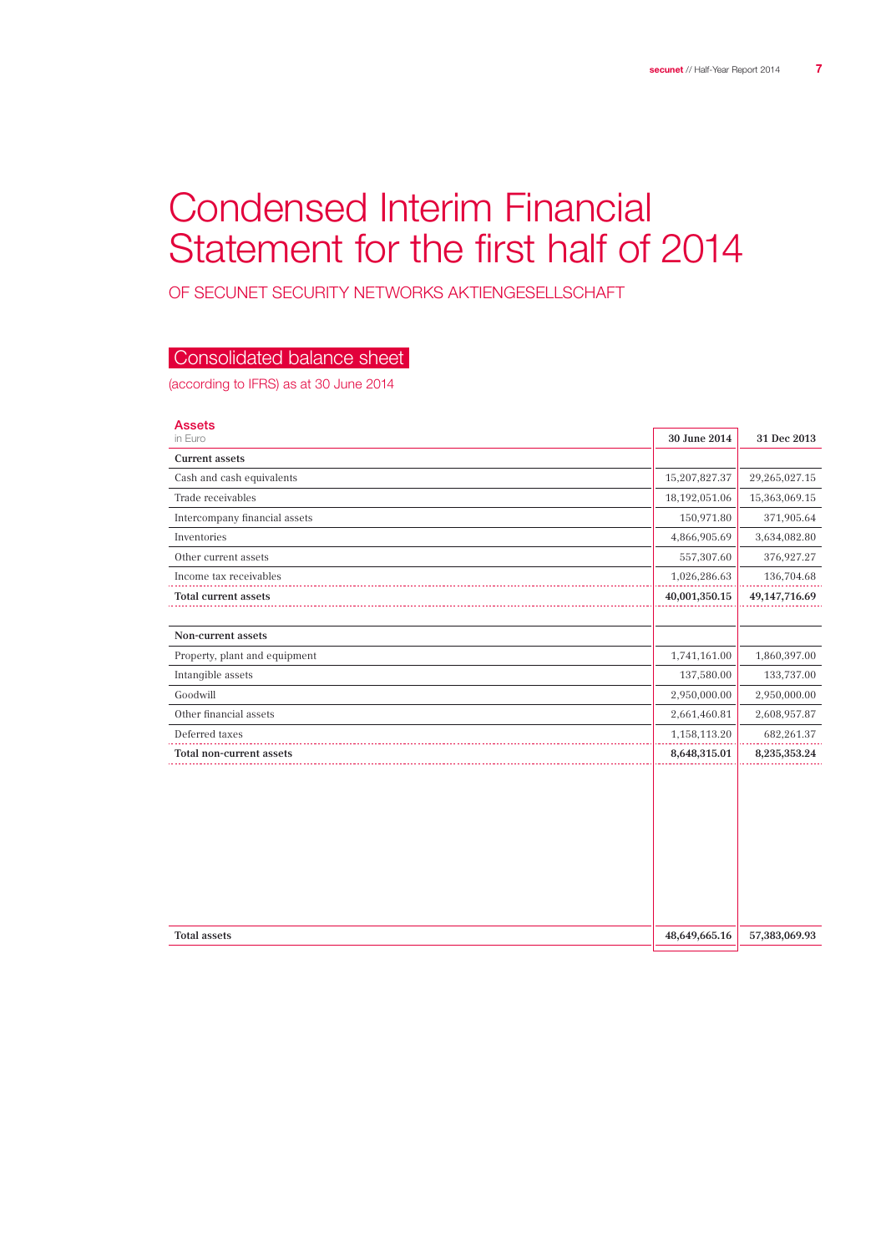## Condensed Interim Financial Statement for the first half of 2014

of secunet Security Networks Aktiengesellschaft

## Consolidated balance sheet

(according to IFRS) as at 30 June 2014

| <b>Assets</b>                 |               |                    |
|-------------------------------|---------------|--------------------|
| in Euro                       | 30 June 2014  | 31 Dec 2013        |
| <b>Current assets</b>         |               |                    |
| Cash and cash equivalents     | 15,207,827.37 | 29,265,027.15      |
| Trade receivables             | 18,192,051.06 | 15,363,069.15      |
| Intercompany financial assets | 150,971.80    | 371,905.64         |
| Inventories                   | 4,866,905.69  | 3,634,082.80       |
| Other current assets          | 557,307.60    | 376,927.27         |
| Income tax receivables        | 1,026,286.63  | 136,704.68         |
| <b>Total current assets</b>   | 40,001,350.15 | 49, 147, 716.69    |
|                               |               |                    |
| Non-current assets            |               |                    |
| Property, plant and equipment | 1,741,161.00  | 1,860,397.00       |
| Intangible assets             | 137,580.00    | 133,737.00         |
| Goodwill                      | 2,950,000.00  | 2,950,000.00       |
| Other financial assets        | 2,661,460.81  | 2,608,957.87       |
| Deferred taxes                | 1,158,113.20  | 682,261.37         |
| Total non-current assets      | 8,648,315.01  | $8,\!235,\!353.24$ |
|                               |               |                    |
| <b>Total assets</b>           | 48,649,665.16 | 57,383,069.93      |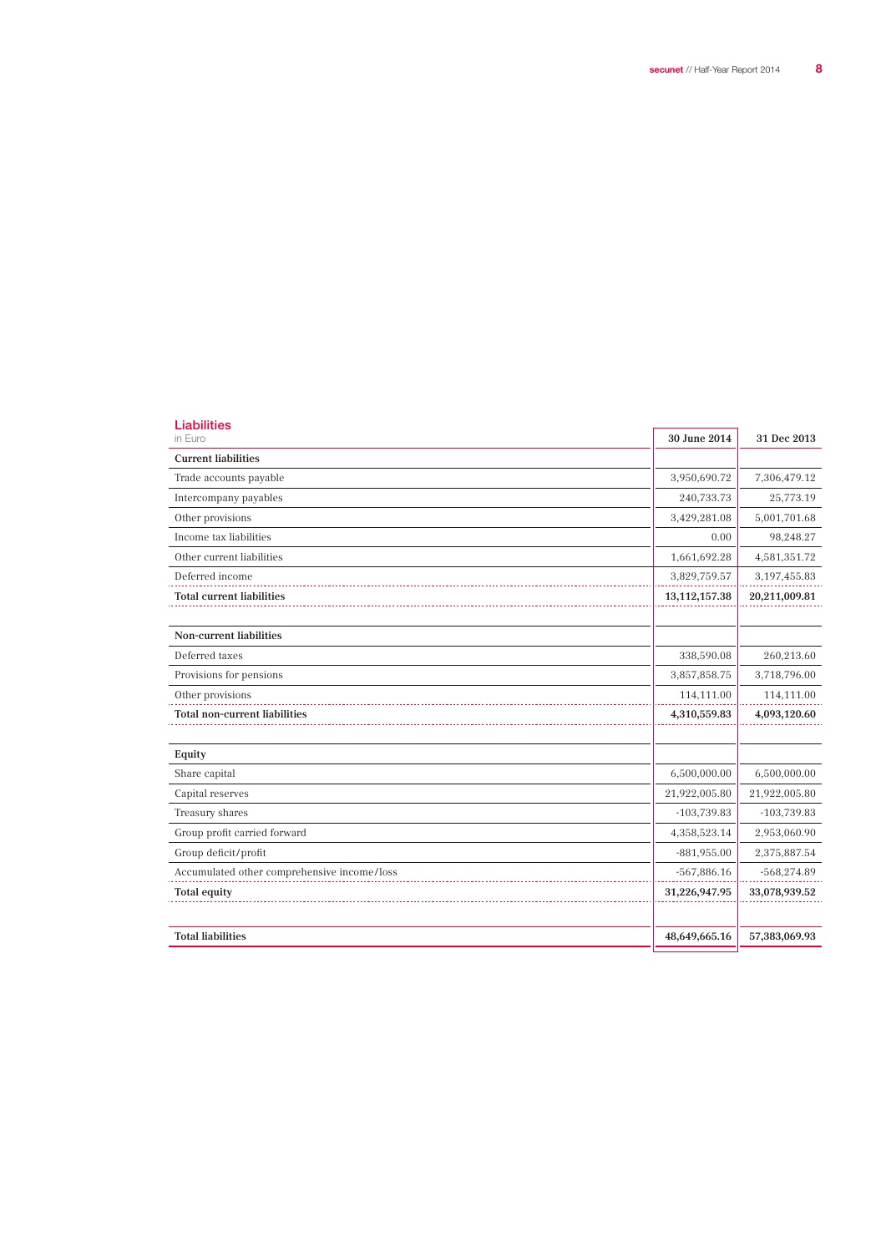| <b>Liabilities</b><br>in Euro               | 30 June 2014     | 31 Dec 2013    |
|---------------------------------------------|------------------|----------------|
| <b>Current liabilities</b>                  |                  |                |
| Trade accounts payable                      | 3,950,690.72     | 7,306,479.12   |
| Intercompany payables                       | 240,733.73       | 25,773.19      |
| Other provisions                            | 3,429,281.08     | 5,001,701.68   |
| Income tax liabilities                      | 0.00             | 98,248.27      |
| Other current liabilities                   | 1,661,692.28     | 4,581,351.72   |
| Deferred income                             | 3,829,759.57     | 3, 197, 455.83 |
| <b>Total current liabilities</b>            | 13, 112, 157. 38 | 20,211,009.81  |
|                                             |                  |                |
| <b>Non-current liabilities</b>              |                  |                |
| Deferred taxes                              | 338,590.08       | 260,213.60     |
| Provisions for pensions                     | 3,857,858.75     | 3,718,796.00   |
| Other provisions                            | 114,111.00       | 114,111.00     |
| <b>Total non-current liabilities</b>        | 4,310,559.83     | 4,093,120.60   |
|                                             |                  |                |
| Equity                                      |                  |                |
| Share capital                               | 6,500,000.00     | 6,500,000.00   |
| Capital reserves                            | 21,922,005.80    | 21,922,005.80  |
| Treasury shares                             | $-103,739.83$    | $-103,739.83$  |
| Group profit carried forward                | 4,358,523.14     | 2,953,060.90   |
| Group deficit/profit                        | $-881,955.00$    | 2,375,887.54   |
| Accumulated other comprehensive income/loss | $-567,886.16$    | $-568,274.89$  |
| <b>Total equity</b>                         | 31,226,947.95    | 33,078,939.52  |
| <b>Total liabilities</b>                    | 48,649,665.16    | 57,383,069.93  |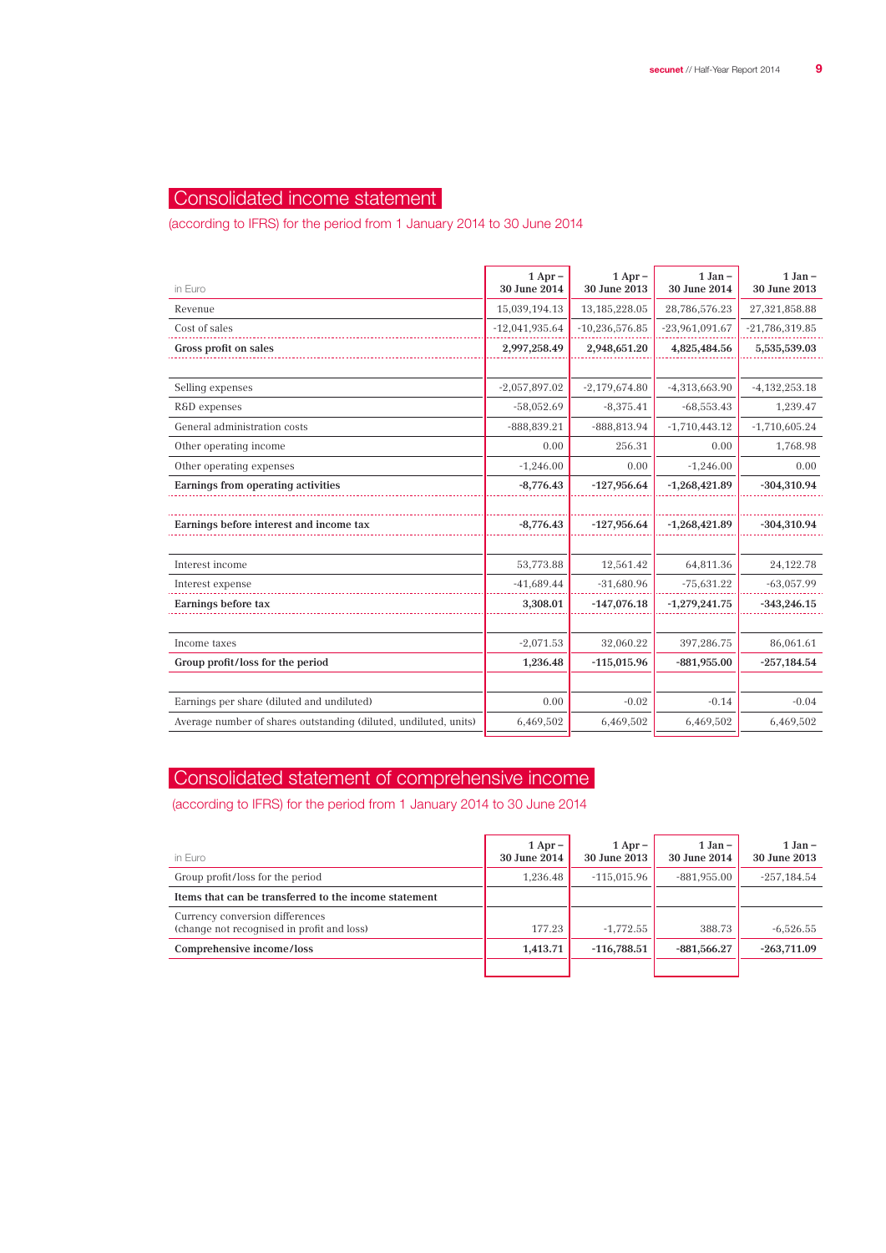## Consolidated income statement

(according to IFRS) for the period from 1 January 2014 to 30 June 2014

| in Euro                                                          | $1$ Apr $-$<br>30 June 2014 | $1$ Apr $-$<br>30 June 2013 | $1$ Jan $-$<br>30 June 2014 | $1$ Jan $-$<br>30 June 2013 |
|------------------------------------------------------------------|-----------------------------|-----------------------------|-----------------------------|-----------------------------|
| Revenue                                                          | 15,039,194.13               | 13,185,228.05               | 28,786,576.23               | 27,321,858.88               |
| Cost of sales                                                    | $-12,041,935.64$            | $-10,236,576.85$            | $-23,961,091.67$            | $-21,786,319.85$            |
| Gross profit on sales                                            | 2,997,258.49                | 2,948,651.20                | 4,825,484.56                | 5,535,539.03                |
|                                                                  |                             |                             |                             |                             |
| Selling expenses                                                 | $-2,057,897.02$             | $-2,179,674.80$             | $-4,313,663.90$             | $-4,132,253.18$             |
| R&D expenses                                                     | $-58,052.69$                | $-8,375.41$                 | $-68,553.43$                | 1,239.47                    |
| General administration costs                                     | $-888,839.21$               | $-888,813.94$               | $-1,710,443.12$             | $-1,710,605.24$             |
| Other operating income                                           | 0.00                        | 256.31                      | 0.00                        | 1,768.98                    |
| Other operating expenses                                         | $-1,246.00$                 | 0.00                        | $-1,246.00$                 | 0.00                        |
| Earnings from operating activities                               | $-8,776.43$                 | $-127,956.64$               | $-1,268,421.89$             | $-304,310.94$               |
| Earnings before interest and income tax                          | $-8,776.43$                 | $-127,956.64$               | $-1,268,421.89$             | $-304,310.94$               |
| Interest income                                                  | 53,773.88                   | 12,561.42                   | 64,811.36                   | 24, 122. 78                 |
| Interest expense                                                 | $-41,689.44$                | $-31,680.96$                | $-75,631.22$                | $-63,057.99$                |
| Earnings before tax                                              | 3,308.01                    | $-147,076.18$               | $-1,279,241.75$             | $-343,246.15$               |
| Income taxes                                                     | $-2,071.53$                 | 32,060.22                   | 397,286.75                  | 86,061.61                   |
| Group profit/loss for the period                                 | 1,236.48                    | $-115,015.96$               | $-881,955.00$               | $-257,184.54$               |
|                                                                  |                             |                             |                             |                             |
| Earnings per share (diluted and undiluted)                       | 0.00                        | $-0.02$                     | $-0.14$                     | $-0.04$                     |
| Average number of shares outstanding (diluted, undiluted, units) | 6,469,502                   | 6,469,502                   | 6,469,502                   | 6,469,502                   |

## Consolidated statement of comprehensive income

(according to IFRS) for the period from 1 January 2014 to 30 June 2014

| in Euro                                                                       | $1$ Apr –<br>30 June 2014 | $1$ Apr $-$<br>30 June 2013 | $1 Jan -$<br>30 June 2014 | $1$ Jan $-$<br>30 June 2013 |
|-------------------------------------------------------------------------------|---------------------------|-----------------------------|---------------------------|-----------------------------|
| Group profit/loss for the period                                              | 1.236.48                  | $-115.015.96$               | $-881,955.00$             | $-257,184.54$               |
| Items that can be transferred to the income statement                         |                           |                             |                           |                             |
| Currency conversion differences<br>(change not recognised in profit and loss) | 177.23                    | $-1.772.55$                 | 388.73                    | $-6,526.55$                 |
| Comprehensive income/loss                                                     | 1,413.71                  | $-116.788.51$               | $-881,566.27$             | $-263,711.09$               |
|                                                                               |                           |                             |                           |                             |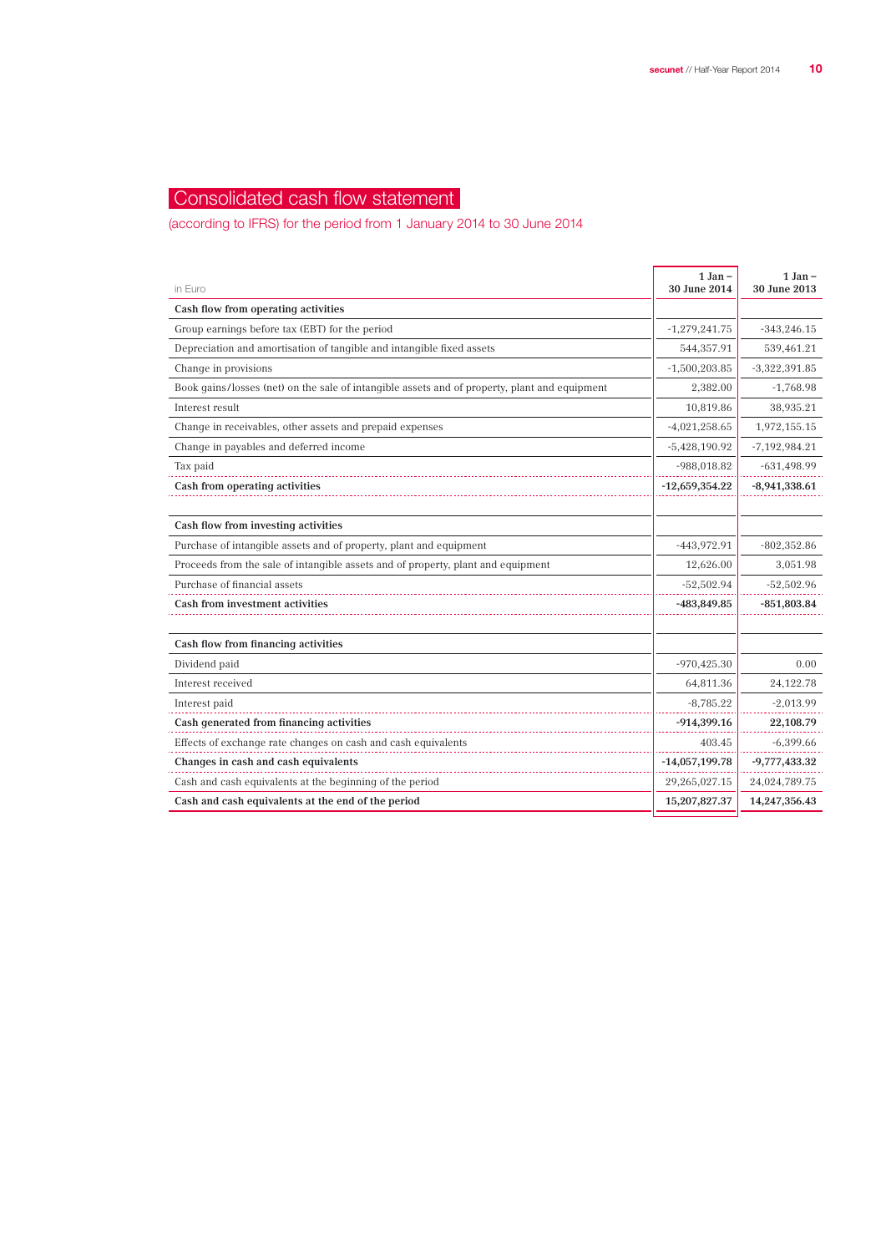## Consolidated cash flow statement

(according to IFRS) for the period from 1 January 2014 to 30 June 2014

| in Euro                                                                                       | $1$ Jan $-$<br>30 June 2014 | $1$ Jan $-$<br>30 June 2013 |
|-----------------------------------------------------------------------------------------------|-----------------------------|-----------------------------|
| Cash flow from operating activities                                                           |                             |                             |
| Group earnings before tax (EBT) for the period                                                | $-1,279,241.75$             | $-343,246.15$               |
| Depreciation and amortisation of tangible and intangible fixed assets                         | 544,357.91                  | 539,461.21                  |
| Change in provisions                                                                          | $-1,500,203.85$             | $-3,322,391.85$             |
| Book gains/losses (net) on the sale of intangible assets and of property, plant and equipment | 2,382.00                    | $-1,768.98$                 |
| Interest result                                                                               | 10,819.86                   | 38,935.21                   |
| Change in receivables, other assets and prepaid expenses                                      | $-4,021,258.65$             | 1,972,155.15                |
| Change in payables and deferred income                                                        | $-5,428,190.92$             | $-7,192,984.21$             |
| Tax paid                                                                                      | $-988,018.82$               | $-631,498.99$               |
| Cash from operating activities                                                                | $-12,659,354.22$            | $-8,941,338.61$             |
|                                                                                               |                             |                             |
| Cash flow from investing activities                                                           |                             |                             |
| Purchase of intangible assets and of property, plant and equipment                            | -443,972.91                 | $-802,352.86$               |
| Proceeds from the sale of intangible assets and of property, plant and equipment              | 12,626.00                   | 3,051.98                    |
| Purchase of financial assets                                                                  | $-52,502.94$                | $-52,502.96$                |
| Cash from investment activities                                                               | -483,849.85                 | $-851,803.84$               |
|                                                                                               |                             |                             |
| Cash flow from financing activities                                                           |                             |                             |
| Dividend paid                                                                                 | $-970,425.30$               | 0.00                        |
| Interest received                                                                             | 64,811.36                   | 24,122.78                   |
| Interest paid                                                                                 | $-8,785.22$                 | $-2,013.99$                 |
| Cash generated from financing activities                                                      | $-914,399.16$               | 22,108.79                   |
| Effects of exchange rate changes on cash and cash equivalents                                 | 403.45                      | $-6,399.66$                 |
| Changes in cash and cash equivalents                                                          | $-14,057,199.78$            | $-9,777,433.32$             |
| Cash and cash equivalents at the beginning of the period                                      | 29,265,027.15               | 24,024,789.75               |
| Cash and cash equivalents at the end of the period                                            | 15,207,827.37               | 14,247,356.43               |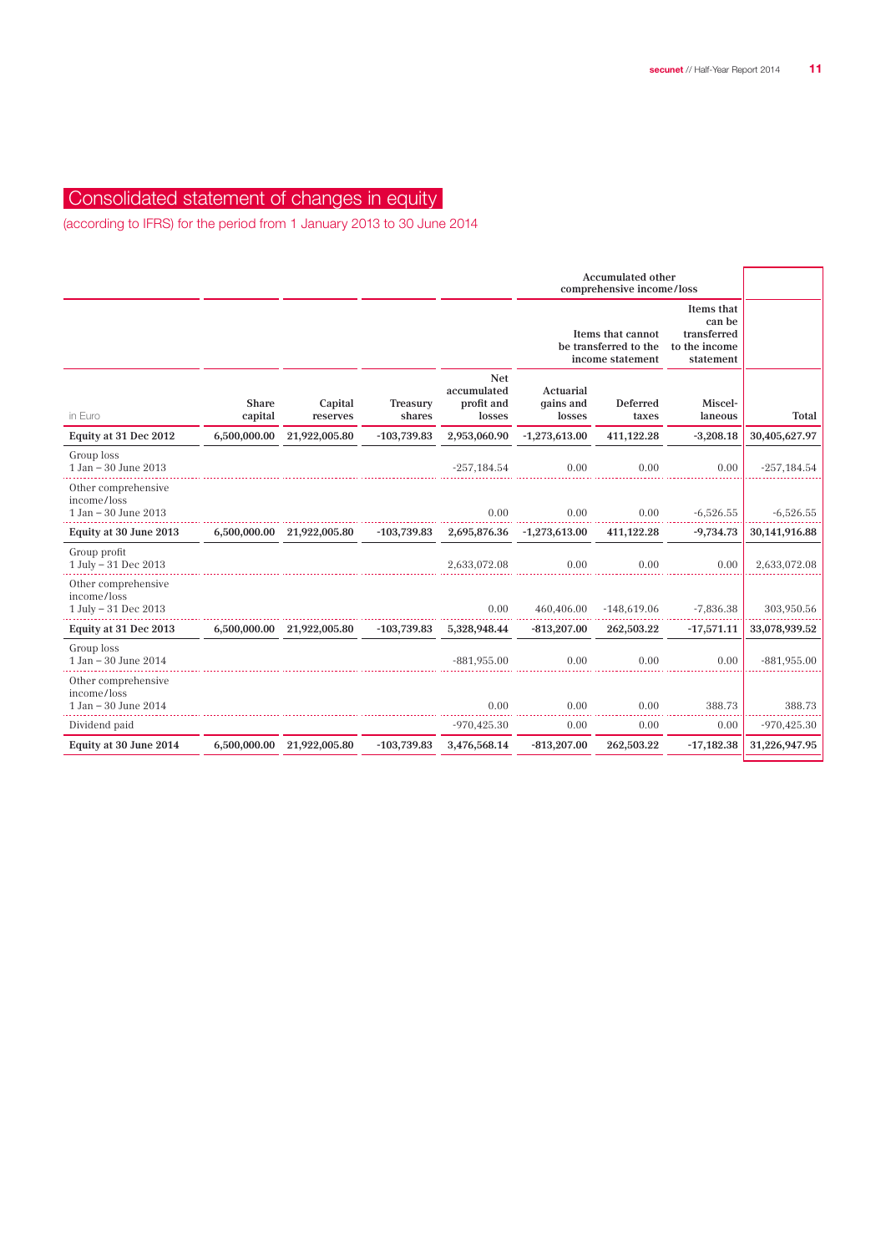## Consolidated statement of changes in equity

(according to IFRS) for the period from 1 January 2013 to 30 June 2014

|                                                                |                         |                            |                    |                                                   | <b>Accumulated other</b><br>comprehensive income/loss          |                   |                                                                   |                |
|----------------------------------------------------------------|-------------------------|----------------------------|--------------------|---------------------------------------------------|----------------------------------------------------------------|-------------------|-------------------------------------------------------------------|----------------|
|                                                                |                         |                            |                    |                                                   | Items that cannot<br>be transferred to the<br>income statement |                   | Items that<br>can be<br>transferred<br>to the income<br>statement |                |
| in Euro                                                        | <b>Share</b><br>capital | Capital<br>reserves        | Treasury<br>shares | <b>Net</b><br>accumulated<br>profit and<br>losses | Actuarial<br>gains and<br>losses                               | Deferred<br>taxes | Miscel-<br>laneous                                                | Total          |
| Equity at 31 Dec 2012                                          | 6,500,000.00            | 21,922,005.80              | $-103,739.83$      | 2,953,060.90                                      | $-1,273,613.00$                                                | 411,122.28        | $-3,208.18$                                                       | 30,405,627.97  |
| Group loss<br>1 Jan - 30 June 2013                             |                         |                            |                    | $-257,184.54$                                     | 0.00                                                           | 0.00              | 0.00                                                              | $-257, 184.54$ |
| Other comprehensive<br>income/loss<br>$1$ Jan $-$ 30 June 2013 |                         |                            |                    | 0.00                                              | 0.00                                                           | 0.00              | $-6,526.55$                                                       | $-6,526.55$    |
| Equity at 30 June 2013                                         | 6,500,000.00            | 21,922,005.80              | $-103,739.83$      | 2,695,876.36                                      | $-1,273,613.00$                                                | 411,122.28        | $-9,734.73$                                                       | 30,141,916.88  |
| Group profit<br>1 July - 31 Dec 2013                           |                         |                            |                    | 2,633,072.08                                      | 0.00                                                           | 0.00              | 0.00                                                              | 2,633,072.08   |
| Other comprehensive<br>income/loss<br>1 July - 31 Dec 2013     |                         |                            |                    | 0.00                                              | 460,406.00                                                     | $-148,619.06$     | $-7,836.38$                                                       | 303,950.56     |
| Equity at 31 Dec 2013                                          |                         | 6,500,000.00 21,922,005.80 | $-103,739.83$      | 5,328,948.44                                      | $-813,207.00$                                                  | 262,503.22        | $-17,571.11$                                                      | 33,078,939.52  |
| Group loss<br>1 Jan - 30 June 2014                             |                         |                            |                    | $-881.955.00$                                     | 0.00                                                           | 0.00              | 0.00                                                              | $-881,955.00$  |
| Other comprehensive<br>income/loss<br>$1$ Jan $-$ 30 June 2014 |                         |                            |                    | 0.00                                              | 0.00                                                           | 0.00              | 388.73                                                            | 388.73         |
| Dividend paid                                                  |                         |                            |                    | $-970,425.30$                                     | 0.00                                                           | 0.00              | 0.00                                                              | $-970,425.30$  |
| Equity at 30 June 2014                                         | 6,500,000.00            | 21,922,005.80              | $-103,739.83$      | 3,476,568.14                                      | $-813,207.00$                                                  | 262,503.22        | $-17,182.38$                                                      | 31,226,947.95  |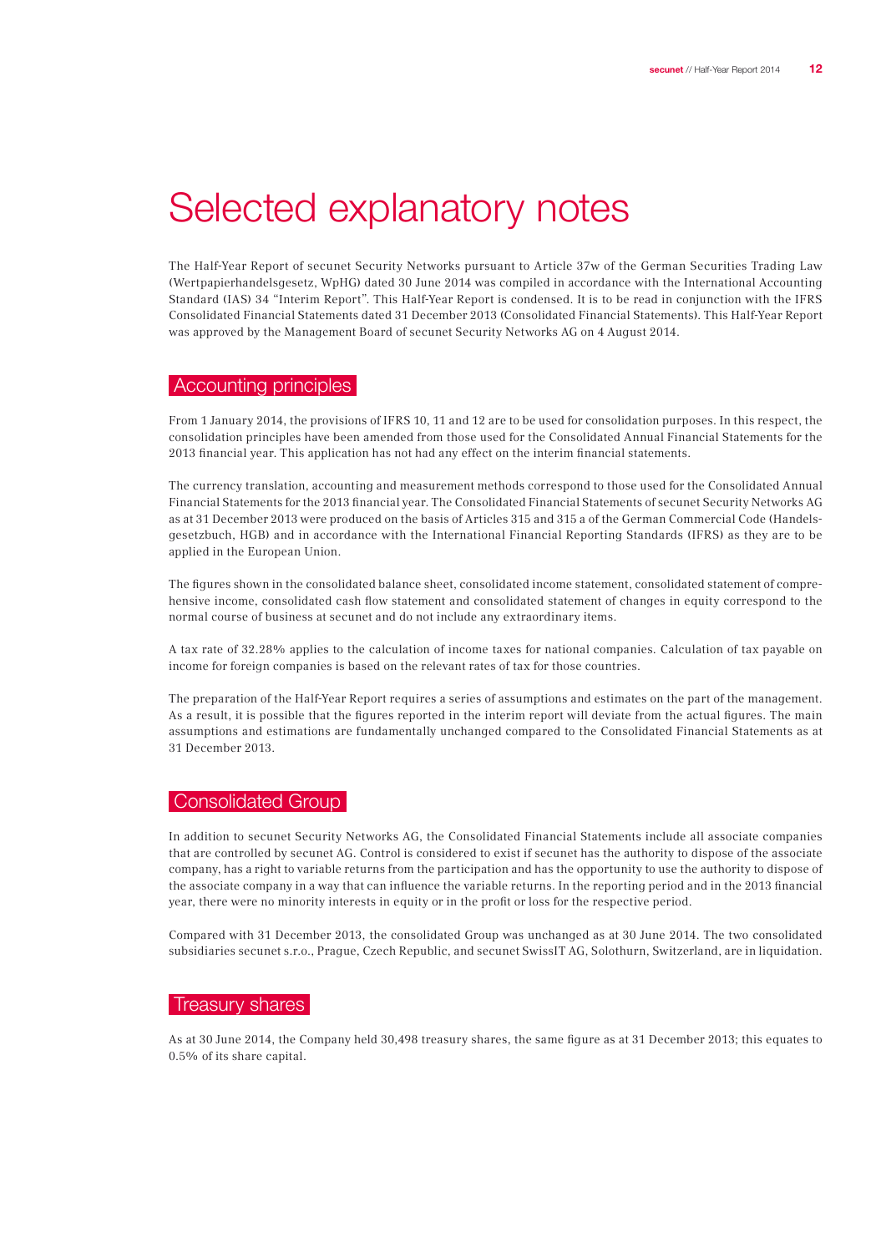## Selected explanatory notes

The Half-Year Report of secunet Security Networks pursuant to Article 37w of the German Securities Trading Law (Wertpapierhandelsgesetz, WpHG) dated 30 June 2014 was compiled in accordance with the International Accounting Standard (IAS) 34 "Interim Report". This Half-Year Report is condensed. It is to be read in conjunction with the IFRS Consolidated Financial Statements dated 31 December 2013 (Consolidated Financial Statements). This Half-Year Report was approved by the Management Board of secunet Security Networks AG on 4 August 2014.

#### Accounting principles

From 1 January 2014, the provisions of IFRS 10, 11 and 12 are to be used for consolidation purposes. In this respect, the consolidation principles have been amended from those used for the Consolidated Annual Financial Statements for the 2013 financial year. This application has not had any effect on the interim financial statements.

The currency translation, accounting and measurement methods correspond to those used for the Consolidated Annual Financial Statements for the 2013 financial year. The Consolidated Financial Statements of secunet Security Networks AG as at 31 December 2013 were produced on the basis of Articles 315 and 315 a of the German Commercial Code (Handelsgesetzbuch, HGB) and in accordance with the International Financial Reporting Standards (IFRS) as they are to be applied in the European Union.

The figures shown in the consolidated balance sheet, consolidated income statement, consolidated statement of comprehensive income, consolidated cash flow statement and consolidated statement of changes in equity correspond to the normal course of business at secunet and do not include any extraordinary items.

A tax rate of 32.28% applies to the calculation of income taxes for national companies. Calculation of tax payable on income for foreign companies is based on the relevant rates of tax for those countries.

The preparation of the Half-Year Report requires a series of assumptions and estimates on the part of the management. As a result, it is possible that the figures reported in the interim report will deviate from the actual figures. The main assumptions and estimations are fundamentally unchanged compared to the Consolidated Financial Statements as at 31 December 2013.

#### | Consolidated Group |

In addition to secunet Security Networks AG, the Consolidated Financial Statements include all associate companies that are controlled by secunet AG. Control is considered to exist if secunet has the authority to dispose of the associate company, has a right to variable returns from the participation and has the opportunity to use the authority to dispose of the associate company in a way that can influence the variable returns. In the reporting period and in the 2013 financial year, there were no minority interests in equity or in the profit or loss for the respective period.

Compared with 31 December 2013, the consolidated Group was unchanged as at 30 June 2014. The two consolidated subsidiaries secunet s.r.o., Prague, Czech Republic, and secunet SwissIT AG, Solothurn, Switzerland, are in liquidation.

#### Treasury shares

As at 30 June 2014, the Company held 30,498 treasury shares, the same figure as at 31 December 2013; this equates to 0.5% of its share capital.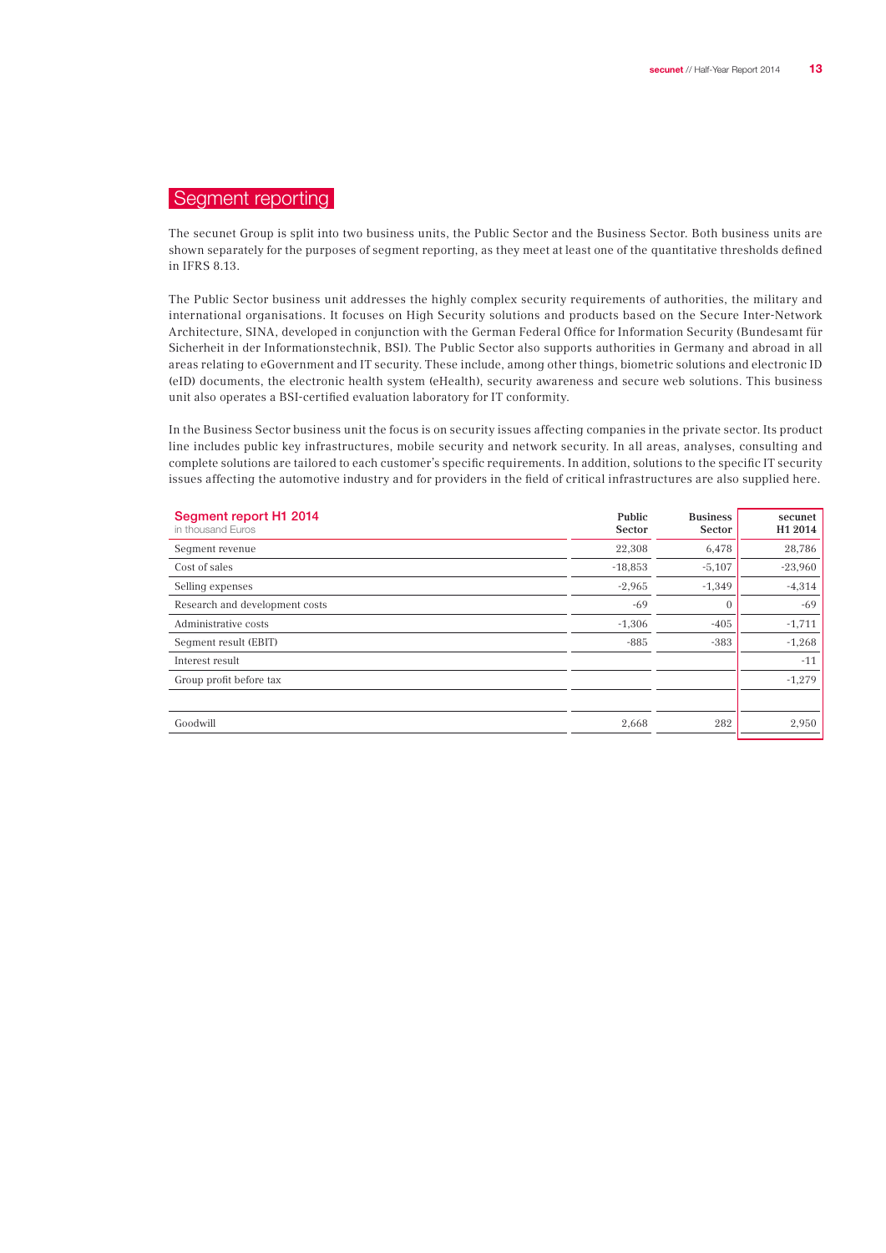## Segment reporting

The secunet Group is split into two business units, the Public Sector and the Business Sector. Both business units are shown separately for the purposes of segment reporting, as they meet at least one of the quantitative thresholds defined in IFRS 8.13.

The Public Sector business unit addresses the highly complex security requirements of authorities, the military and international organisations. It focuses on High Security solutions and products based on the Secure Inter-Network Architecture, SINA, developed in conjunction with the German Federal Office for Information Security (Bundesamt für Sicherheit in der Informationstechnik, BSI). The Public Sector also supports authorities in Germany and abroad in all areas relating to eGovernment and IT security. These include, among other things, biometric solutions and electronic ID (eID) documents, the electronic health system (eHealth), security awareness and secure web solutions. This business unit also operates a BSI-certified evaluation laboratory for IT conformity.

In the Business Sector business unit the focus is on security issues affecting companies in the private sector. Its product line includes public key infrastructures, mobile security and network security. In all areas, analyses, consulting and complete solutions are tailored to each customer's specific requirements. In addition, solutions to the specific IT security issues affecting the automotive industry and for providers in the field of critical infrastructures are also supplied here.

| Segment report H1 2014<br>in thousand Euros | Public<br>Sector | <b>Business</b><br>Sector | secunet<br>H1 2014 |
|---------------------------------------------|------------------|---------------------------|--------------------|
| Segment revenue                             | 22,308           | 6,478                     | 28,786             |
| Cost of sales                               | $-18,853$        | $-5,107$                  | $-23,960$          |
| Selling expenses                            | $-2,965$         | $-1,349$                  | $-4,314$           |
| Research and development costs              | $-69$            | $\mathbf{0}$              | $-69$              |
| Administrative costs                        | $-1,306$         | $-405$                    | $-1,711$           |
| Seqment result (EBIT)                       | $-885$           | $-383$                    | $-1,268$           |
| Interest result                             |                  |                           | $-11$              |
| Group profit before tax                     |                  |                           | $-1,279$           |
|                                             |                  |                           |                    |
| Goodwill                                    | 2,668            | 282                       | 2,950              |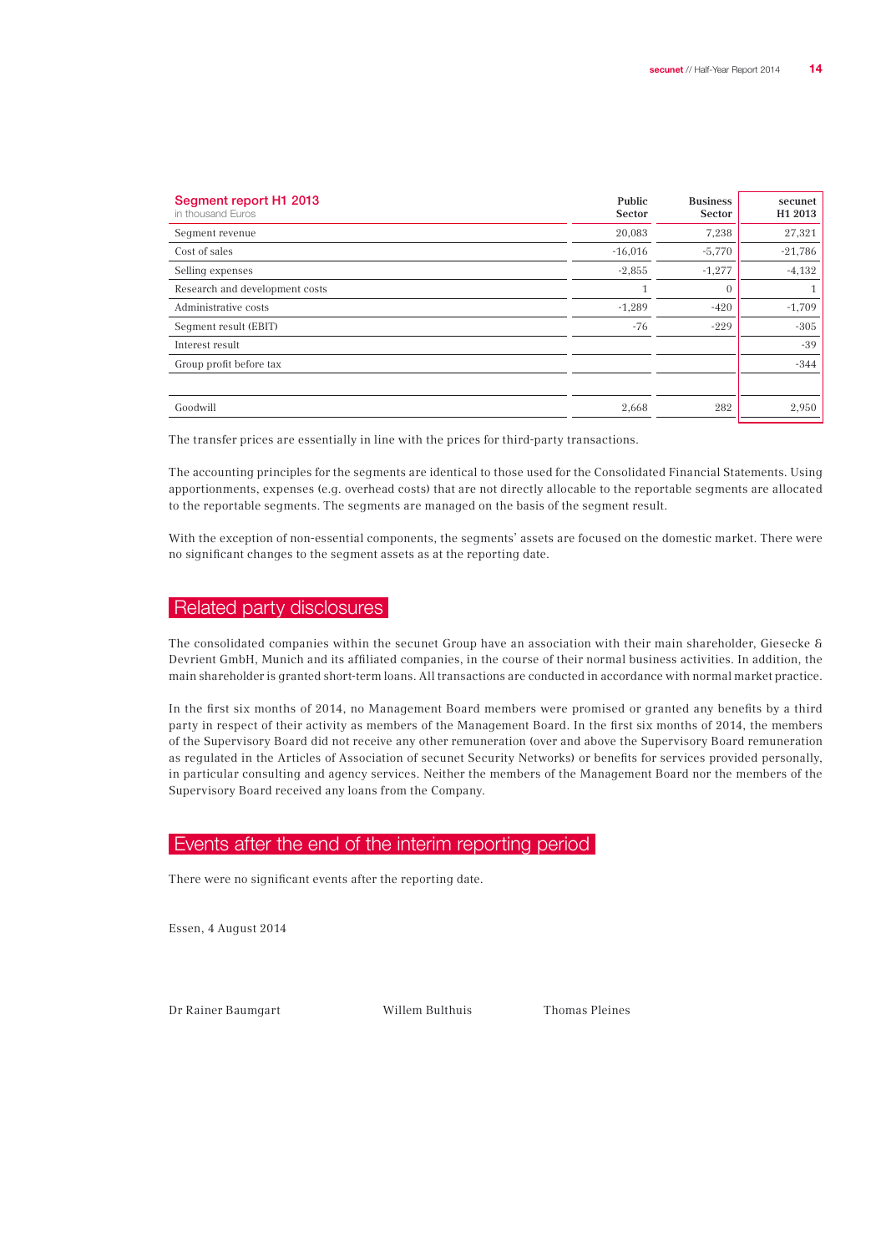| Segment report H1 2013<br>in thousand Euros | Public<br>Sector | <b>Business</b><br>Sector | secunet<br>H1 2013 |
|---------------------------------------------|------------------|---------------------------|--------------------|
| Segment revenue                             | 20,083           | 7,238                     | 27,321             |
| Cost of sales                               | $-16,016$        | $-5,770$                  | $-21,786$          |
| Selling expenses                            | $-2,855$         | $-1,277$                  | $-4,132$           |
| Research and development costs              | $\mathbf{1}$     | $\overline{0}$            | 1                  |
| Administrative costs                        | $-1,289$         | $-420$                    | $-1,709$           |
| Seqment result (EBIT)                       | $-76$            | $-229$                    | $-305$             |
| Interest result                             |                  |                           | $-39$              |
| Group profit before tax                     |                  |                           | $-344$             |
|                                             |                  |                           |                    |
| Goodwill                                    | 2,668            | 282                       | 2,950              |

The transfer prices are essentially in line with the prices for third-party transactions.

The accounting principles for the segments are identical to those used for the Consolidated Financial Statements. Using apportionments, expenses (e.g. overhead costs) that are not directly allocable to the reportable segments are allocated to the reportable segments. The segments are managed on the basis of the segment result.

With the exception of non-essential components, the segments' assets are focused on the domestic market. There were no significant changes to the segment assets as at the reporting date.

### Related party disclosures

The consolidated companies within the secunet Group have an association with their main shareholder, Giesecke & Devrient GmbH, Munich and its affiliated companies, in the course of their normal business activities. In addition, the main shareholder is granted short-term loans. All transactions are conducted in accordance with normal market practice.

In the first six months of 2014, no Management Board members were promised or granted any benefits by a third party in respect of their activity as members of the Management Board. In the first six months of 2014, the members of the Supervisory Board did not receive any other remuneration (over and above the Supervisory Board remuneration as regulated in the Articles of Association of secunet Security Networks) or benefits for services provided personally, in particular consulting and agency services. Neither the members of the Management Board nor the members of the Supervisory Board received any loans from the Company.

#### Events after the end of the interim reporting period

There were no significant events after the reporting date.

Essen, 4 August 2014

Dr Rainer Baumgart Willem Bulthuis Thomas Pleines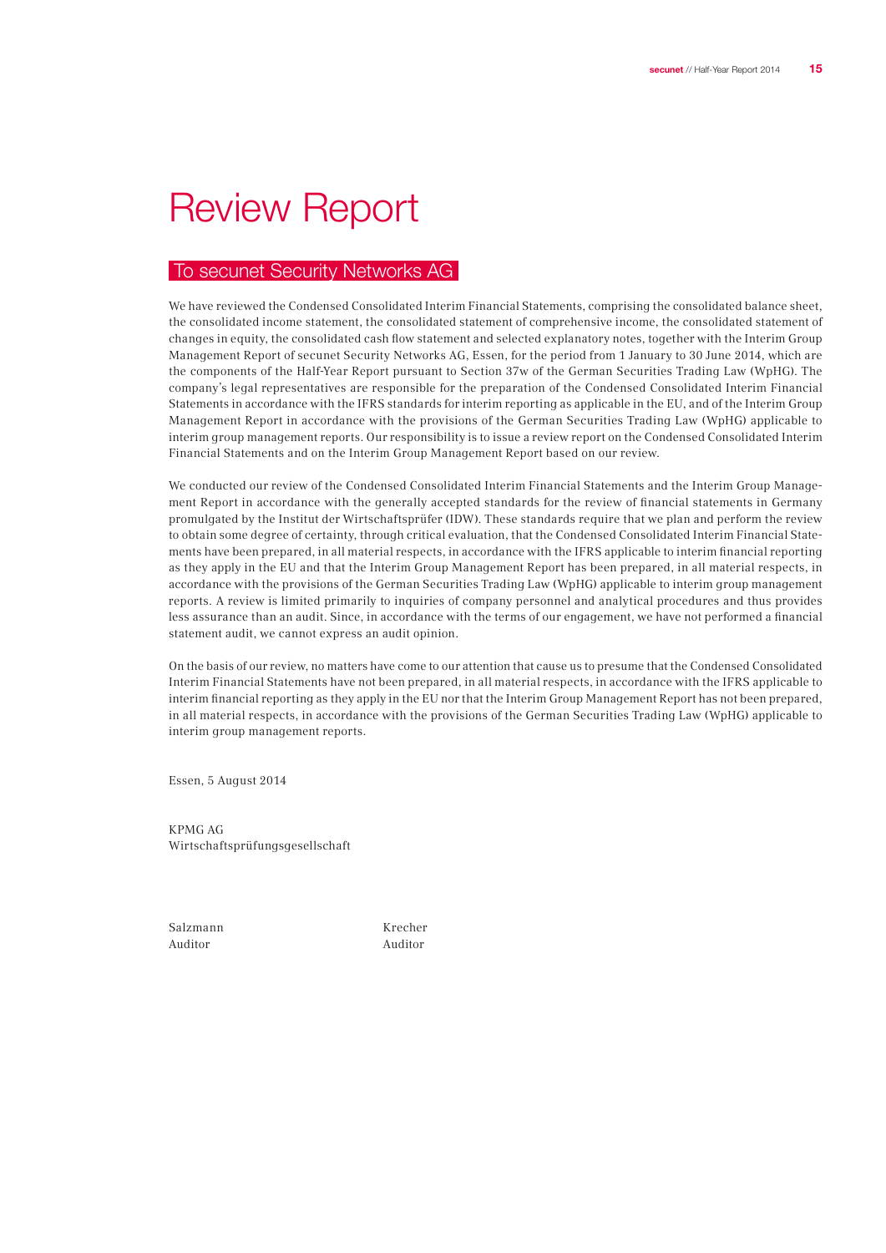## Review Report

### To secunet Security Networks AG

We have reviewed the Condensed Consolidated Interim Financial Statements, comprising the consolidated balance sheet, the consolidated income statement, the consolidated statement of comprehensive income, the consolidated statement of changes in equity, the consolidated cash flow statement and selected explanatory notes, together with the Interim Group Management Report of secunet Security Networks AG, Essen, for the period from 1 January to 30 June 2014, which are the components of the Half-Year Report pursuant to Section 37w of the German Securities Trading Law (WpHG). The company's legal representatives are responsible for the preparation of the Condensed Consolidated Interim Financial Statements in accordance with the IFRS standards for interim reporting as applicable in the EU, and of the Interim Group Management Report in accordance with the provisions of the German Securities Trading Law (WpHG) applicable to interim group management reports. Our responsibility is to issue a review report on the Condensed Consolidated Interim Financial Statements and on the Interim Group Management Report based on our review.

We conducted our review of the Condensed Consolidated Interim Financial Statements and the Interim Group Management Report in accordance with the generally accepted standards for the review of financial statements in Germany promulgated by the Institut der Wirtschaftsprüfer (IDW). These standards require that we plan and perform the review to obtain some degree of certainty, through critical evaluation, that the Condensed Consolidated Interim Financial Statements have been prepared, in all material respects, in accordance with the IFRS applicable to interim financial reporting as they apply in the EU and that the Interim Group Management Report has been prepared, in all material respects, in accordance with the provisions of the German Securities Trading Law (WpHG) applicable to interim group management reports. A review is limited primarily to inquiries of company personnel and analytical procedures and thus provides less assurance than an audit. Since, in accordance with the terms of our engagement, we have not performed a financial statement audit, we cannot express an audit opinion.

On the basis of our review, no matters have come to our attention that cause us to presume that the Condensed Consolidated Interim Financial Statements have not been prepared, in all material respects, in accordance with the IFRS applicable to interim financial reporting as they apply in the EU nor that the Interim Group Management Report has not been prepared, in all material respects, in accordance with the provisions of the German Securities Trading Law (WpHG) applicable to interim group management reports.

Essen, 5 August 2014

KPMG AG Wirtschaftsprüfungsgesellschaft

Auditor Auditor

Salzmann Krecher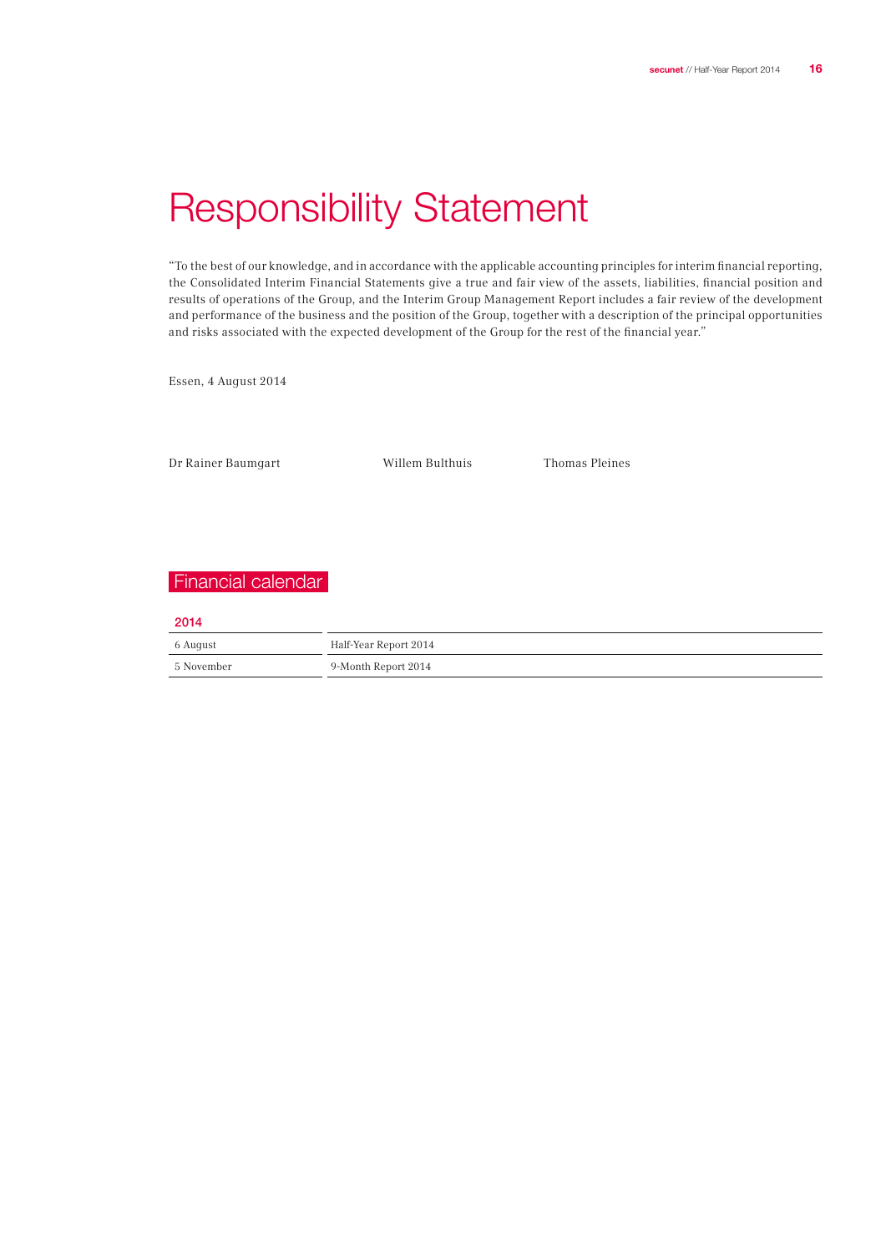## Responsibility Statement

"To the best of our knowledge, and in accordance with the applicable accounting principles for interim financial reporting, the Consolidated Interim Financial Statements give a true and fair view of the assets, liabilities, financial position and results of operations of the Group, and the Interim Group Management Report includes a fair review of the development and performance of the business and the position of the Group, together with a description of the principal opportunities and risks associated with the expected development of the Group for the rest of the financial year."

Essen, 4 August 2014

Dr Rainer Baumgart Willem Bulthuis Thomas Pleines

## Financial calendar

2014

| 6 August   | Half-Year Report 2014 |
|------------|-----------------------|
| 5 November | 9-Month Report 2014   |